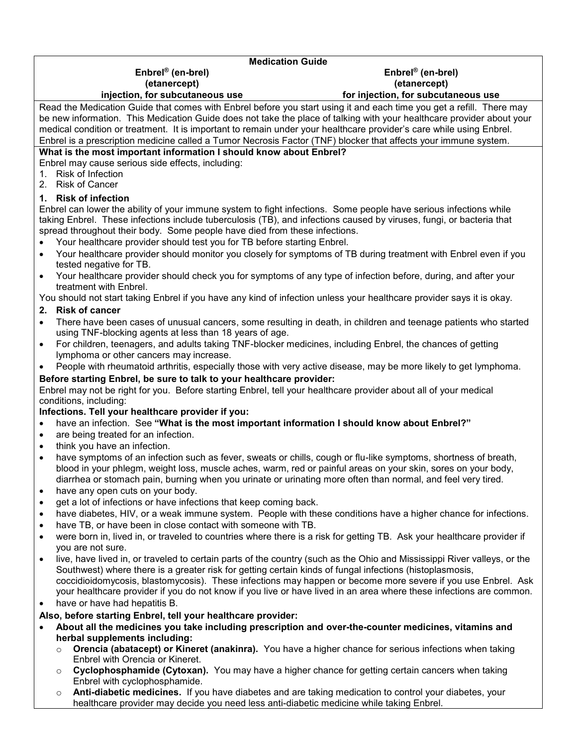## **Medication Guide Enbrel® (en-brel) Enbrel® (en-brel) (etanercept) (etanercept) injection, for subcutaneous use for injection, for subcutaneous use** Read the Medication Guide that comes with Enbrel before you start using it and each time you get a refill. There may be new information. This Medication Guide does not take the place of talking with your healthcare provider about your medical condition or treatment. It is important to remain under your healthcare provider's care while using Enbrel. Enbrel is a prescription medicine called a Tumor Necrosis Factor (TNF) blocker that affects your immune system. **What is the most important information I should know about Enbrel?** Enbrel may cause serious side effects, including: 1. Risk of Infection 2. Risk of Cancer **1. Risk of infection** Enbrel can lower the ability of your immune system to fight infections. Some people have serious infections while taking Enbrel. These infections include tuberculosis (TB), and infections caused by viruses, fungi, or bacteria that spread throughout their body. Some people have died from these infections. Your healthcare provider should test you for TB before starting Enbrel. Your healthcare provider should monitor you closely for symptoms of TB during treatment with Enbrel even if you tested negative for TB. Your healthcare provider should check you for symptoms of any type of infection before, during, and after your treatment with Enbrel. You should not start taking Enbrel if you have any kind of infection unless your healthcare provider says it is okay. **2. Risk of cancer** There have been cases of unusual cancers, some resulting in death, in children and teenage patients who started using TNF-blocking agents at less than 18 years of age. For children, teenagers, and adults taking TNF-blocker medicines, including Enbrel, the chances of getting lymphoma or other cancers may increase. People with rheumatoid arthritis, especially those with very active disease, may be more likely to get lymphoma. **Before starting Enbrel, be sure to talk to your healthcare provider:** Enbrel may not be right for you. Before starting Enbrel, tell your healthcare provider about all of your medical conditions, including: **Infections. Tell your healthcare provider if you:**

- have an infection. See **"What is the most important information I should know about Enbrel?"**
- are being treated for an infection.
- think you have an infection.
- have symptoms of an infection such as fever, sweats or chills, cough or flu-like symptoms, shortness of breath, blood in your phlegm, weight loss, muscle aches, warm, red or painful areas on your skin, sores on your body, diarrhea or stomach pain, burning when you urinate or urinating more often than normal, and feel very tired.
- have any open cuts on your body.
- get a lot of infections or have infections that keep coming back.
- have diabetes, HIV, or a weak immune system. People with these conditions have a higher chance for infections.
- have TB, or have been in close contact with someone with TB.
- were born in, lived in, or traveled to countries where there is a risk for getting TB. Ask your healthcare provider if you are not sure.
- live, have lived in, or traveled to certain parts of the country (such as the Ohio and Mississippi River valleys, or the Southwest) where there is a greater risk for getting certain kinds of fungal infections (histoplasmosis, coccidioidomycosis, blastomycosis). These infections may happen or become more severe if you use Enbrel. Ask your healthcare provider if you do not know if you live or have lived in an area where these infections are common.
- have or have had hepatitis B.

## **Also, before starting Enbrel, tell your healthcare provider:**

- **About all the medicines you take including prescription and over-the-counter medicines, vitamins and herbal supplements including:** 
	- o **Orencia (abatacept) or Kineret (anakinra).** You have a higher chance for serious infections when taking Enbrel with Orencia or Kineret.
	- o **Cyclophosphamide (Cytoxan).** You may have a higher chance for getting certain cancers when taking Enbrel with cyclophosphamide.
	- o **Anti-diabetic medicines.** If you have diabetes and are taking medication to control your diabetes, your healthcare provider may decide you need less anti-diabetic medicine while taking Enbrel.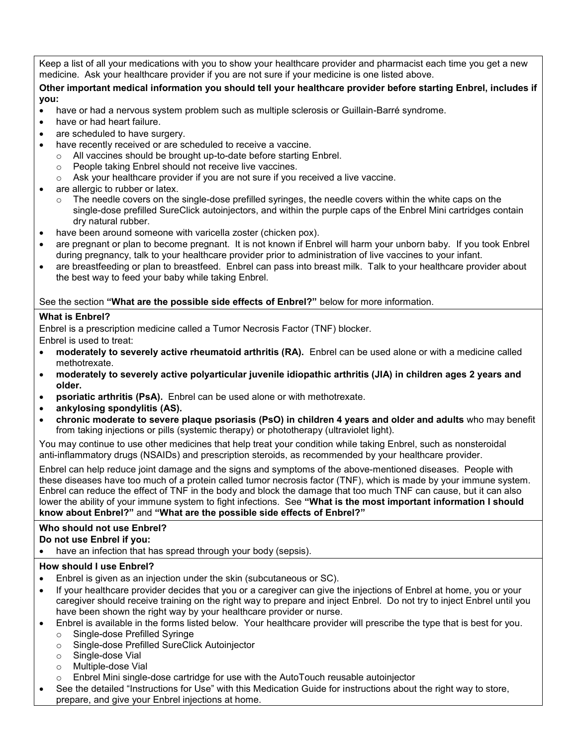Keep a list of all your medications with you to show your healthcare provider and pharmacist each time you get a new medicine. Ask your healthcare provider if you are not sure if your medicine is one listed above.

#### **Other important medical information you should tell your healthcare provider before starting Enbrel, includes if you:**

- have or had a nervous system problem such as multiple sclerosis or Guillain-Barré syndrome.
- have or had heart failure.
- are scheduled to have surgery.
- have recently received or are scheduled to receive a vaccine.
	- o All vaccines should be brought up-to-date before starting Enbrel.
	- o People taking Enbrel should not receive live vaccines.
	- o Ask your healthcare provider if you are not sure if you received a live vaccine.
- are allergic to rubber or latex.
	- $\circ$  The needle covers on the single-dose prefilled syringes, the needle covers within the white caps on the single-dose prefilled SureClick autoinjectors, and within the purple caps of the Enbrel Mini cartridges contain dry natural rubber.
- have been around someone with varicella zoster (chicken pox).
- are pregnant or plan to become pregnant. It is not known if Enbrel will harm your unborn baby. If you took Enbrel during pregnancy, talk to your healthcare provider prior to administration of live vaccines to your infant.
- are breastfeeding or plan to breastfeed. Enbrel can pass into breast milk. Talk to your healthcare provider about the best way to feed your baby while taking Enbrel.

## See the section **"What are the possible side effects of Enbrel?"** below for more information.

## **What is Enbrel?**

Enbrel is a prescription medicine called a Tumor Necrosis Factor (TNF) blocker. Enbrel is used to treat:

- **moderately to severely active rheumatoid arthritis (RA).** Enbrel can be used alone or with a medicine called methotrexate.
- **moderately to severely active polyarticular juvenile idiopathic arthritis (JIA) in children ages 2 years and older.**
- **psoriatic arthritis (PsA).** Enbrel can be used alone or with methotrexate.
- **ankylosing spondylitis (AS).**
- **chronic moderate to severe plaque psoriasis (PsO) in children 4 years and older and adults** who may benefit from taking injections or pills (systemic therapy) or phototherapy (ultraviolet light).

You may continue to use other medicines that help treat your condition while taking Enbrel, such as nonsteroidal anti-inflammatory drugs (NSAIDs) and prescription steroids, as recommended by your healthcare provider.

Enbrel can help reduce joint damage and the signs and symptoms of the above-mentioned diseases. People with these diseases have too much of a protein called tumor necrosis factor (TNF), which is made by your immune system. Enbrel can reduce the effect of TNF in the body and block the damage that too much TNF can cause, but it can also lower the ability of your immune system to fight infections. See **"What is the most important information I should know about Enbrel?"** and **"What are the possible side effects of Enbrel?"**

# **Who should not use Enbrel?**

## **Do not use Enbrel if you:**

• have an infection that has spread through your body (sepsis).

# **How should I use Enbrel?**

- Enbrel is given as an injection under the skin (subcutaneous or SC).
- If your healthcare provider decides that you or a caregiver can give the injections of Enbrel at home, you or your caregiver should receive training on the right way to prepare and inject Enbrel. Do not try to inject Enbrel until you have been shown the right way by your healthcare provider or nurse.
- Enbrel is available in the forms listed below. Your healthcare provider will prescribe the type that is best for you.
	- o Single-dose Prefilled Syringe
	- o Single-dose Prefilled SureClick Autoinjector
	- o Single-dose Vial
	- o Multiple-dose Vial
	- $\circ$  Enbrel Mini single-dose cartridge for use with the AutoTouch reusable autoinjector
- See the detailed "Instructions for Use" with this Medication Guide for instructions about the right way to store, prepare, and give your Enbrel injections at home.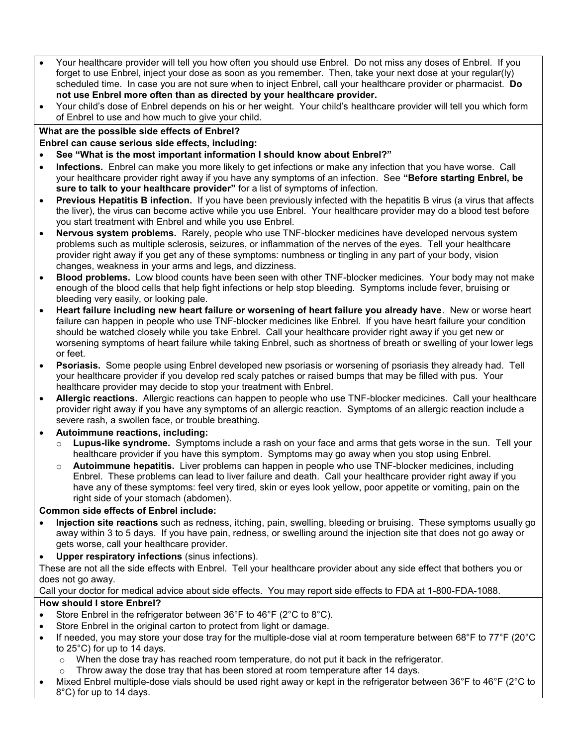- Your healthcare provider will tell you how often you should use Enbrel. Do not miss any doses of Enbrel. If you forget to use Enbrel, inject your dose as soon as you remember. Then, take your next dose at your regular(ly) scheduled time. In case you are not sure when to inject Enbrel, call your healthcare provider or pharmacist. **Do not use Enbrel more often than as directed by your healthcare provider.**
- Your child's dose of Enbrel depends on his or her weight. Your child's healthcare provider will tell you which form of Enbrel to use and how much to give your child.

# **What are the possible side effects of Enbrel?**

**Enbrel can cause serious side effects, including:** 

- **See "What is the most important information I should know about Enbrel?"**
- **Infections.** Enbrel can make you more likely to get infections or make any infection that you have worse. Call your healthcare provider right away if you have any symptoms of an infection. See **"Before starting Enbrel, be sure to talk to your healthcare provider"** for a list of symptoms of infection.
- **Previous Hepatitis B infection.** If you have been previously infected with the hepatitis B virus (a virus that affects the liver), the virus can become active while you use Enbrel. Your healthcare provider may do a blood test before you start treatment with Enbrel and while you use Enbrel.
- **Nervous system problems.** Rarely, people who use TNF-blocker medicines have developed nervous system problems such as multiple sclerosis, seizures, or inflammation of the nerves of the eyes. Tell your healthcare provider right away if you get any of these symptoms: numbness or tingling in any part of your body, vision changes, weakness in your arms and legs, and dizziness.
- **Blood problems.** Low blood counts have been seen with other TNF-blocker medicines. Your body may not make enough of the blood cells that help fight infections or help stop bleeding. Symptoms include fever, bruising or bleeding very easily, or looking pale.
- **Heart failure including new heart failure or worsening of heart failure you already have**. New or worse heart failure can happen in people who use TNF-blocker medicines like Enbrel. If you have heart failure your condition should be watched closely while you take Enbrel. Call your healthcare provider right away if you get new or worsening symptoms of heart failure while taking Enbrel, such as shortness of breath or swelling of your lower legs or feet.
- **Psoriasis.** Some people using Enbrel developed new psoriasis or worsening of psoriasis they already had. Tell your healthcare provider if you develop red scaly patches or raised bumps that may be filled with pus. Your healthcare provider may decide to stop your treatment with Enbrel.
- **Allergic reactions.** Allergic reactions can happen to people who use TNF-blocker medicines. Call your healthcare provider right away if you have any symptoms of an allergic reaction. Symptoms of an allergic reaction include a severe rash, a swollen face, or trouble breathing.

## **Autoimmune reactions, including:**

- o **Lupus-like syndrome.** Symptoms include a rash on your face and arms that gets worse in the sun. Tell your healthcare provider if you have this symptom. Symptoms may go away when you stop using Enbrel.
- o **Autoimmune hepatitis.** Liver problems can happen in people who use TNF-blocker medicines, including Enbrel. These problems can lead to liver failure and death. Call your healthcare provider right away if you have any of these symptoms: feel very tired, skin or eyes look yellow, poor appetite or vomiting, pain on the right side of your stomach (abdomen).

# **Common side effects of Enbrel include:**

- **Injection site reactions** such as redness, itching, pain, swelling, bleeding or bruising. These symptoms usually go away within 3 to 5 days. If you have pain, redness, or swelling around the injection site that does not go away or gets worse, call your healthcare provider.
- **Upper respiratory infections** (sinus infections).

These are not all the side effects with Enbrel. Tell your healthcare provider about any side effect that bothers you or does not go away.

## Call your doctor for medical advice about side effects. You may report side effects to FDA at 1-800-FDA-1088.

# **How should I store Enbrel?**

- Store Enbrel in the refrigerator between 36°F to 46°F (2°C to 8°C).
- Store Enbrel in the original carton to protect from light or damage.
- If needed, you may store your dose tray for the multiple-dose vial at room temperature between 68°F to 77°F (20°C to 25°C) for up to 14 days.
	- o When the dose tray has reached room temperature, do not put it back in the refrigerator.
	- Throw away the dose tray that has been stored at room temperature after 14 days.
- Mixed Enbrel multiple-dose vials should be used right away or kept in the refrigerator between 36°F to 46°F (2°C to 8°C) for up to 14 days.